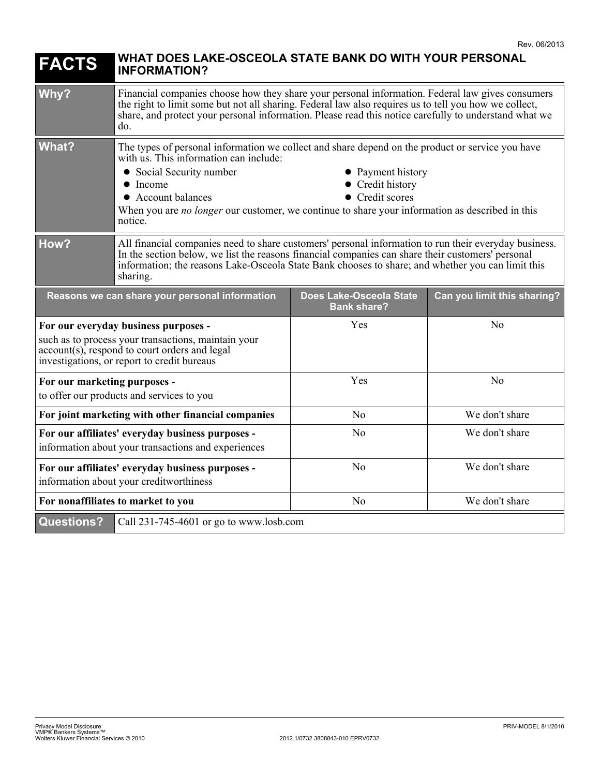| <b>FACTS</b>                                                                                                                                                                                | WHAT DOES LAKE-OSCEOLA STATE BANK DO WITH YOUR PERSONAL<br><b>INFORMATION?</b>                                                                                                                                                                                                                                                                                                           |                                                      |                             |
|---------------------------------------------------------------------------------------------------------------------------------------------------------------------------------------------|------------------------------------------------------------------------------------------------------------------------------------------------------------------------------------------------------------------------------------------------------------------------------------------------------------------------------------------------------------------------------------------|------------------------------------------------------|-----------------------------|
| Why?                                                                                                                                                                                        | Financial companies choose how they share your personal information. Federal law gives consumers<br>the right to limit some but not all sharing. Federal law also requires us to tell you how we collect,<br>share, and protect your personal information. Please read this notice carefully to understand what we<br>do.                                                                |                                                      |                             |
| <b>What?</b>                                                                                                                                                                                | The types of personal information we collect and share depend on the product or service you have<br>with us. This information can include:<br>• Social Security number<br>• Payment history<br>Credit history<br>$\bullet$ Income<br>• Credit scores<br>• Account balances<br>When you are no longer our customer, we continue to share your information as described in this<br>notice. |                                                      |                             |
| How?                                                                                                                                                                                        | All financial companies need to share customers' personal information to run their everyday business.<br>In the section below, we list the reasons financial companies can share their customers' personal<br>information; the reasons Lake-Osceola State Bank chooses to share; and whether you can limit this<br>sharing.                                                              |                                                      |                             |
| Reasons we can share your personal information                                                                                                                                              |                                                                                                                                                                                                                                                                                                                                                                                          | <b>Does Lake-Osceola State</b><br><b>Bank share?</b> | Can you limit this sharing? |
| For our everyday business purposes -<br>such as to process your transactions, maintain your<br>account(s), respond to court orders and legal<br>investigations, or report to credit bureaus |                                                                                                                                                                                                                                                                                                                                                                                          | Yes                                                  | N <sub>o</sub>              |
| For our marketing purposes -<br>to offer our products and services to you                                                                                                                   |                                                                                                                                                                                                                                                                                                                                                                                          | Yes                                                  | No                          |
| For joint marketing with other financial companies                                                                                                                                          |                                                                                                                                                                                                                                                                                                                                                                                          | No                                                   | We don't share              |
| For our affiliates' everyday business purposes -<br>information about your transactions and experiences                                                                                     |                                                                                                                                                                                                                                                                                                                                                                                          | No                                                   | We don't share              |
| For our affiliates' everyday business purposes -<br>information about your creditworthiness                                                                                                 |                                                                                                                                                                                                                                                                                                                                                                                          | N <sub>0</sub>                                       | We don't share              |
| For nonaffiliates to market to you                                                                                                                                                          |                                                                                                                                                                                                                                                                                                                                                                                          | N <sub>o</sub>                                       | We don't share              |
| <b>Questions?</b>                                                                                                                                                                           | Call 231-745-4601 or go to www.losb.com                                                                                                                                                                                                                                                                                                                                                  |                                                      |                             |